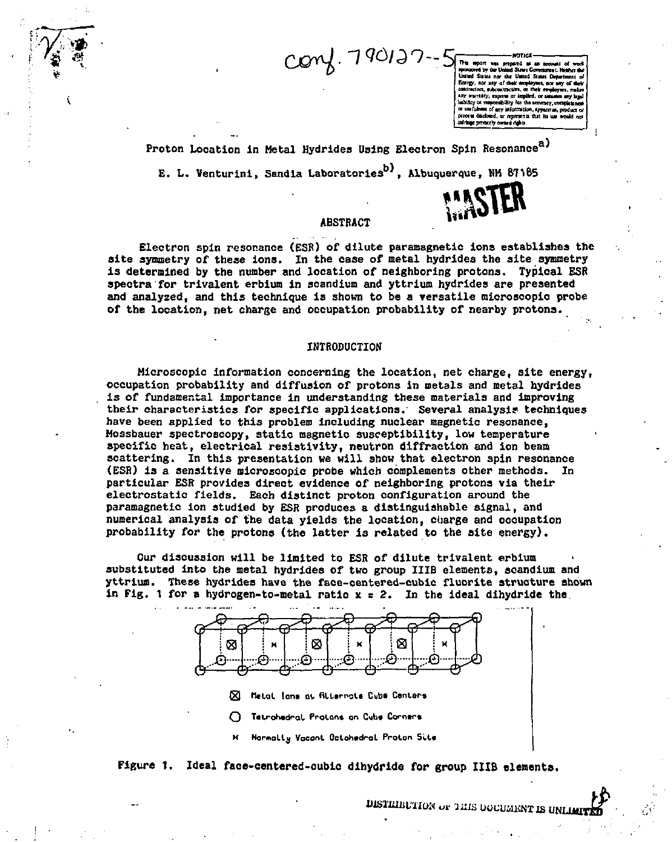.-7<W?--5f **pnpwtd t\*** *ut* **accowl of wot\*** 

**•fount\* toy OK WmJ Su m Canunl . rMAci t V**  United States nor the United States Department of Eonstay, not any of their exployees, nor any of thei **•mcton, w the\* Hnjlujw. rmlrl •ny unruly, npmo or buffed, or wa s any bit)**  luminy or responsibility for the accuracy, completene **ot UHlufcMtt of my Uifomntfoii, ipptnliii, product of**  process disclosed, or represents that its use would not **laiitafc pfltKfly «rtri#f><sup>B</sup>**

Proton Location in Metal Hydrides Using Electron Spin Resonance<sup>a)</sup>

**E. L. Venturini, Sandia Laboratories<sup>97</sup>, Albuquerque, NH 87185** 



### **ABSTRACT**

**Electron spin resonance (ESR) of dilute paramagnetic ions establishes the site symmetry of these ions. In the case of metal hydrides the site symmetry is determined by the number and location of neighboring protons. Typical ESR spectra for trivalent erbium in scandium and yttrium hydrides are presented and analyzed, and this technique is shown to be a versatile microscopic probe of the location, net charge and occupation probability of nearby protons.** 

### **INTRODUCTION**

**Microscopic information concerning the location, net charge, site energy, occupation probability and diffusion of protons in metals and metal hydrides is of fundamental importance in understanding these materials and improving their characteristics for specific applications. Several analysis techniques have been applied to this problem including nuclear magnetic resonance, Mossbauer spectroscopy, static magnetic susceptibility, low temperature specific heat, electrical resistivity, neutron diffraction and ion beam scattering. In this presentation we will show that electron spin resonance (ESR) is a sensitive microscopic probe which complements other methods. In particular ESR provides direct evidence of neighboring protons via their electrostatic fields. Each distinct proton configuration around the paramagnetic ion studied by ESR produces a distinguishable signal, and numerical analysis of the data yields the location, charge and occupation probability for the protons (the latter is related to the site energy).** 

**Our discussion will be limited to ESR of dilute trivalent erbium substituted into the metal hydrides of two group IIIB elements, scandium and yttrium. These hydrides have the face-centered-cubic fluorite structure shown in Fig. 1 for a hydrogen-to-metal ratio x = 2. In the ideal dihydride the** 



- **® felol Ion\* at ftlurncl\* Cub\* Centers**
- $\bigcap$  Tetrohedral Prolans on Cube Corners
- **M Normally Vacant Octahedral Proton Site**

# **Figure 1. Ideal face-centered-cubio dihydride for group IIIB elements,**

**DISTRIBUTION OF THIS DOCUMENT IS UNLIMIT**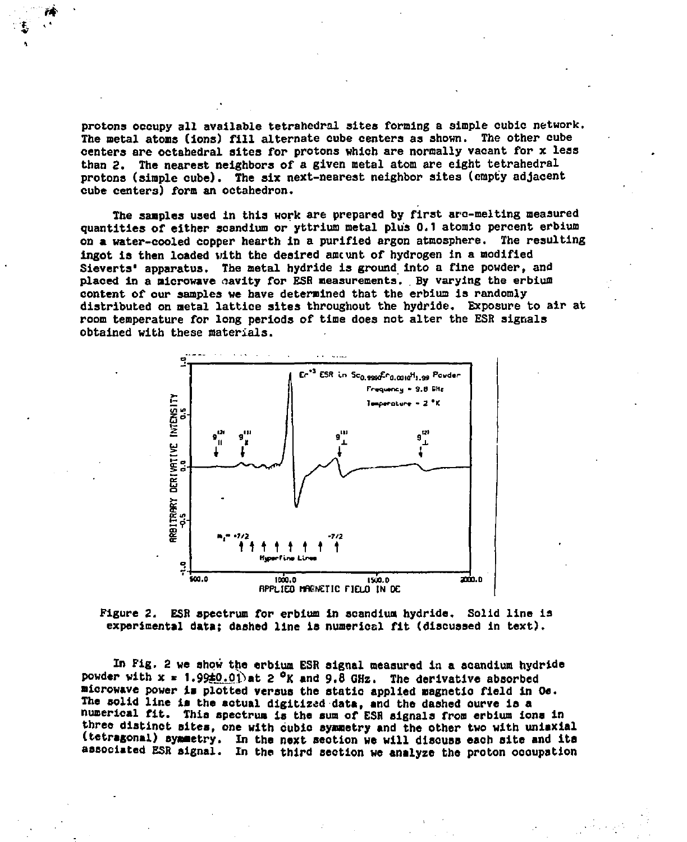**protons occupy all available tetrahedral sites forming a simple cubic network. The metal atoms (ions) fill alternate cube centers as shown. The other cube centers are octahedral sites for protons which are normally vacant for x less than 2. The nearest neighbors of a given metal atom are eight tetrahedral protons (simple cube). The six next-nearest neighbor sites (empty adjacent cube centers) form an octahedron.** 

**The samples used in this work are prepared by first arc-melting measured quantities of either scandium or yttrium metal plus 0.1 atomic percent erbium on a water-cooled copper hearth in a purified argon atmosphere. The resulting ingot is then loaded vitb the desired aocunt of hydrogen in a modified Sieverts<sup>1</sup> apparatus. The metal hydride is ground into a fine powder, and placed in a microwave cavity for ESS measurements. . By varying the erbium content of our samples we have determined that the erbium is randomly distributed on metal lattice sites throughout the hydride. Exposure to air at room temperature for long periods of time does not alter the ESR signals obtained with these materials.** 



**Figure 2. ESR spectrum for erbium in scandium hydride. Solid line is experimental data; dashed line is numerical fit (discussed in text).** 

**In Fig. 2 we show the erbium ESR signal measured in a scandium hydride**  powder with  $x = 1.99\pm0.01$  at 2 <sup>o</sup>K and 9.8 GHz. The derivative absorbed **microwave power la plotted versus the statio applied magnetio field in Oe. The solid line la the aotual digitized data, and the dashed ourve is a numerical fit. This spectrum is the sum of ESH signals from erbium iona in three distinct sites, one with cubic symmetry and the other two with uniaxial (tetragonal) symmetry. In the next seotlon we will discuss each site and ita associated ESR signal. In the third section we analyze the proton occupation**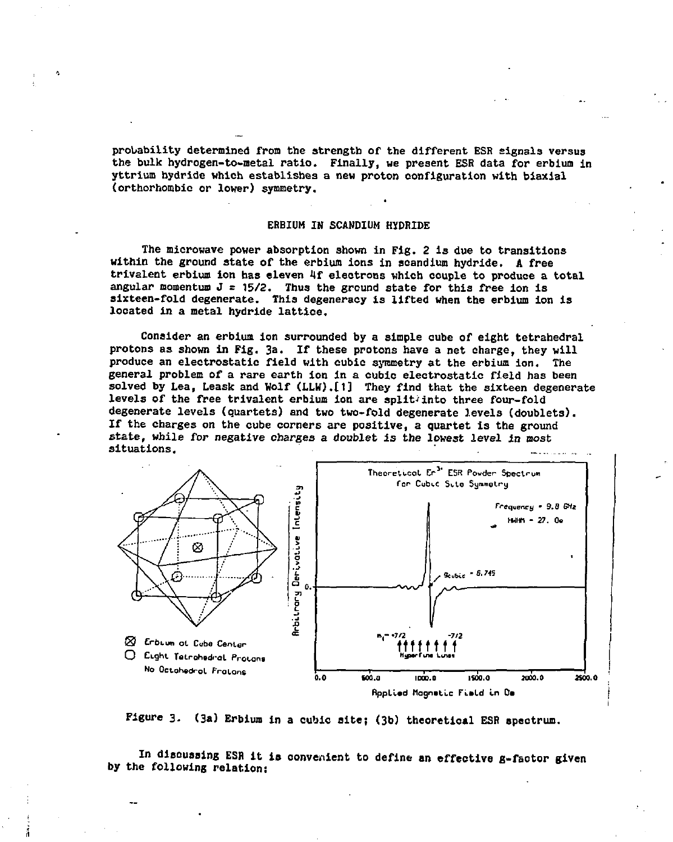**probability determined from the strength of the different ESR signals versus the bulk hydrogen-to-metal ratio. Finally, we present ESR data for erbium in yttrium hydride which establishes a new proton configuration with biaxial (orthorhombio or lower) symmetry.** 

#### **ERBIUM IN SCANDIUM HYDRIDE**

**The microwave power absorption shown in Fig. 2 is due to transitions within the ground state of the erbium ions in scandium hydride. A free trivalent erbium ion has eleven If electrons which couple to produce a total angular momentum J = 15/2. Thus the ground state for this free ion is sixteen-fold degenerate. This degeneracy is lifted when the erbium ion is located in a metal hydride lattice.** 

**Consider an erbium ion surrounded by a simple cube of eight tetrahedral protons as shown in Fig. 3a. If these protons have a net charge, they will produce an electrostatic field with cubic symmetry at the erbium ion. The general problem of a rare earth ion in a cubic electrostatic field has been solved by Lea, Leask and Wolf (LLW).£1] They find that the sixteen degenerate levels of the free trivalent erbium ion are split-into three four-fold degenerate levels (quartets) and two two-fold degenerate levels (doublets). If the charges on the cube corners are positive, a quartet is the ground state, while for negative charges a doublet is the lowest level in most situations.** 



**Figure 3. (3a) Erbium in a cubic site; (3b) theoretical ESR spectrum.** 

**In disouaaing ESR it is convenient to define an effective g-factor given by the following relation:**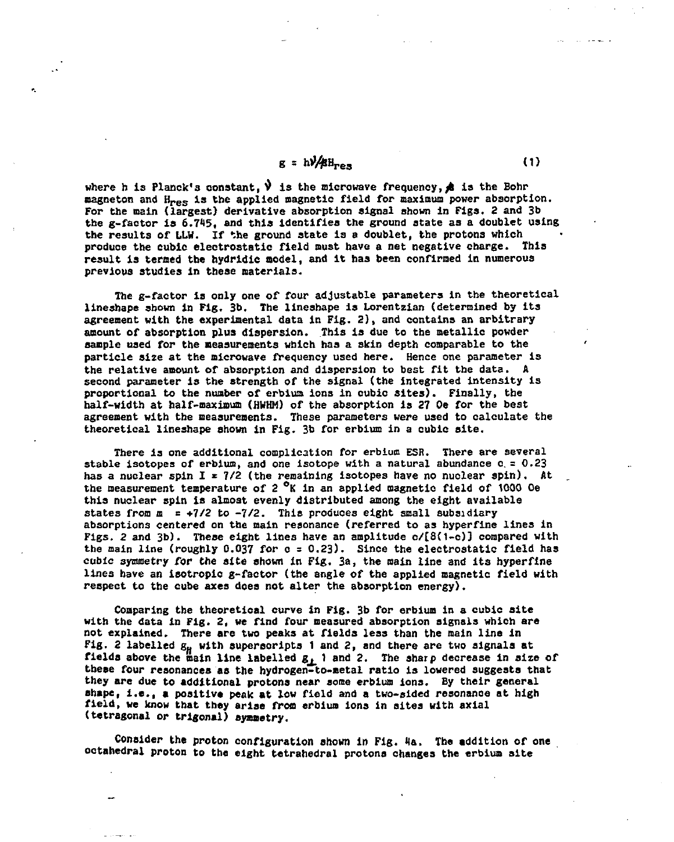$$
g = h \sqrt{\beta} H_{res}
$$
 (1)

where h is Planck's constant,  $\mathbf{v}$  is the microwave frequency,  $\mathbf{\hat{A}}$  is the Bohr magneton and H<sub>res</sub> is the applied magnetic field for maximum power absorption. **For the main (largest) derivative absorption signal shown in Figs. 2 and 3b the g-factor is 6.745, and this identifies the ground state as a doublet using the results of LLH. If the ground state is a doublet, the protons which produce the cubic electrostatic field must have a net negative charge. This result is termed the hydridic model, and it has been confirmed in numerous previous studies in these materials.** 

**The g-factor is only one of four adjustable parameters in the theoretical lineshape shown in Fig. 3b. The lineshape is Lorentzian (determined by its agreement with the experimental data in Fig. 2) , and contains an arbitrary amount of absorption plus dispersion. This is due to the metallic powder sample used for the measurements which has a skin depth comparable to the particle size at the microwave frequency used here. Hence one parameter is the relative amount of absorption and dispersion to best fit the data. A second parameter is the strength of the signal (the integrated intensity is proportional to the number of erbium ions in cubic sites). Finally, the half-width at half-maximum (HWHM) of the absorption is 27 Oe for the best agreement with the measurements. These parameters were used to calculate the theoretical lineshape shown in Fig. 3b for erbium in a cubic site.** 

**There is one additional complication for erbium ESR. There are several stable Isotopes of erbium, and one isotope with a natural abundance c. = 0.23 has a nuclear spin I \* 7/2 (the remaining isotopes have no nuclear spin). At the measurement temperature of 2 °K in an applied magnetic field of 1000 Oe this nuclear spin is almost evenly distributed among the eight available**  states from m = +7/2 to -7/2. This produces eight small subsidiary **absorptions centered on the main resonance (referred to as hyperflne lines in Figs. 2 and 3b). These eight lines have an amplitude o/[8(1-c)) compared with the main line (roughly 0.037 for c** *a* **0.23). Since the electrostatic field has cubic symmetry for the site shown in Fig. 3a, the main line and its hyperfine lines have an Isotropic g-factor (the angle of the applied magnetic field with respect to the cube axes does not alter the absorption energy).** 

**Comparing the theoretical curve in Fig. 3b for erbium in a cubic site with the data in Fig. 2, we find four measured absorption signals which are not explained. There are two peaks at fields less than the main line in**  Fig. 2 labelled  $g_H$  with supersoripts 1 and 2, and there are two signals at **fields above the main line labelled**  $g_i$  **1 and 2. The sharp decrease in size of these four resonances as the hydrogen-to-aetal ratio is lowered suggests that they are due to additional protons near some erbium ions. By their general shape, i.e., • positive peak at low field and a two-sided resonance at high field, we know that they arise from erbium ions in sites with axial (tetragonal or trigonal) symmetry.** 

Consider the proton configuration shown in Fig. 4a. The addition of one **octahedral proton to the eight tetrahedral protons changes the erbium site**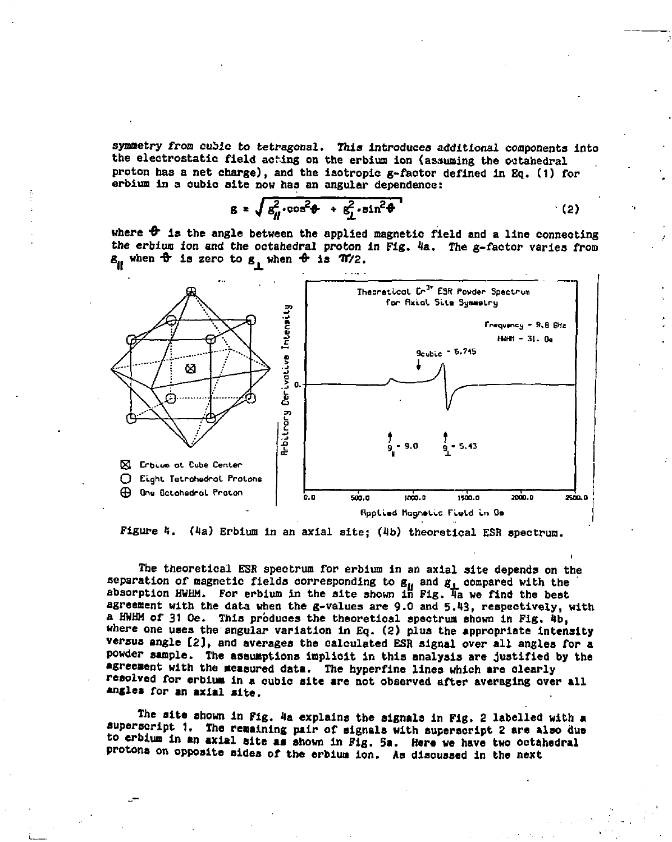**symmetry from cubic to tetragonal. This introduces additional components into the electrostatic field acting on the erbium ion (assuming the octahedral proton has a net charge), and the isotropic g-faotor defined in EQ . (1) for erbium in a cubic site now has an angular dependence:** 

$$
g = \sqrt{\delta_H^2 \cdot \cos^2 \theta + \epsilon_L^2 \cdot \sin^2 \theta}
$$
 (2)

where  $\theta$  is the angle between the applied magnetic field and a line connecting **the erbium ion and the octahedral proton in Fig. 4a. The g-factor varies from**   $g_{\mu}$  when  $\hat{\theta}$  is zero to  $g_{\mu}$  when  $\hat{\theta}$  is  $\hat{\pi}/2$ .



**Figure 1. (la) Erbium in an axial site; (4b) theoretical ESR spectrum.** 

**The theoretical ESR spectrum for erbium in an axial site depends on the**  separation of magnetic fields corresponding to  $g_{\mu}$  and  $g_{\mu}$  compared with the **absorption HWHM. For erbium in the site shown in Fig. Ta we find the best agreement with the data when the g-values are 9.0 and 5.43, respectively, with**  a HWHM of 31 Oe. This produces the theoretical spectrum shown in Fig. 4b, **where one uses the angular variation in Eq. (2) plus the appropriate intensity versus angle [2], and averages the calculated ESR signal over all angles for a powder sample. The assumptions inpliolt in this analysis are justified by the agreement with the measured data. The hyperfine lines which are olearly resolved for erbium in a cubic site are not observed after averaging over all angles for an axial site.** 

**The site shown in Fig. 4a explains the signals in Fig. 2 labelled with a superscript 1. The remaining pair of signals with superscript 2 are also due to erbium in an axial site ai shown in Fig. Sa. Here we have two octahedral protons on opposite sides of the erbium ion. As dlsouased in the next**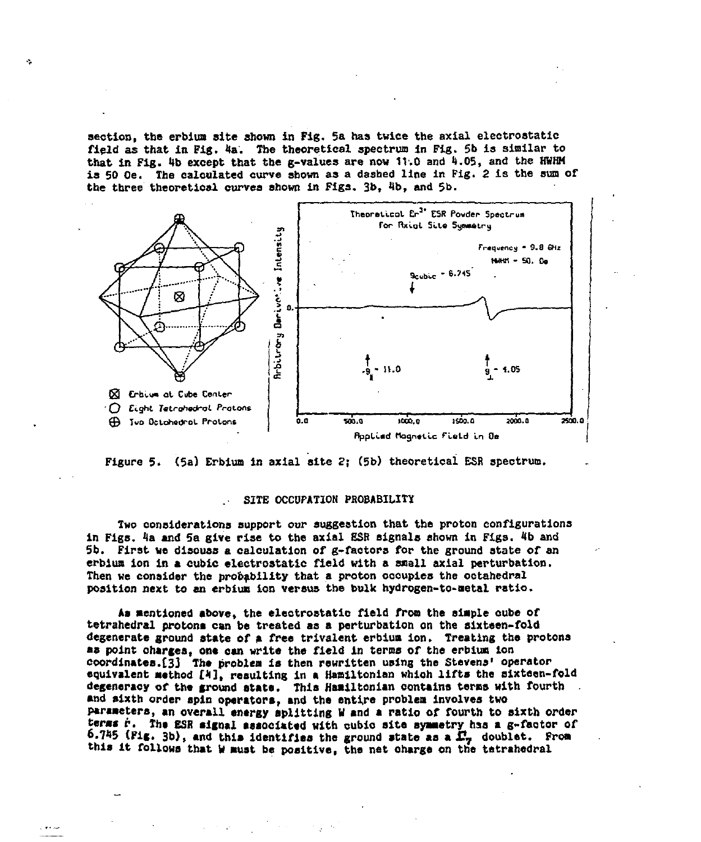section, the erbium site shown in Fig. 5a has twice the axial electrostatic **field as that in Fig. 4a. The theoretical spectrum in Fig. 5b is similar to that in Fig. 4b except that the g-values are now 11.0 and 1.05, and the HHHM is 50 Oe. The calculated curve shown as a dashed line in Fig. 2 is the sun of the three theoretical curves shown in Figs. 3b, 4b, and 5b.** 





## **. SITE OCCUPATION PROBABILITY**

**Two considerations support our suggestion that the proton configurations in Figs. 4a and 5a give rise to the axial ESR signals shown in Figs. 4b and 5b. First we disouss a calculation of g-faotors for the ground state of an erbium ion in a cubic electrostatic field with a small axial perturbation. Then we consider the probability that a proton oooupies the octahedral position next to en erbium ion versus the bulk hydrogen-to-metal ratio.** 

**As mentioned above, the electrostatic field from the simple oube of tetrahedral protons can be treated as a perturbation on the slxteen-fold degenerate ground state of a free trivalent erbium ion. Treating the protons**  as point charges, one can write the field in terms of the erbium ion **coordinates.£33 The problem is then rewritten using the Stevens' operator equivalent method £4], resulting in a Hamiltonlan which lifts the sixteen-fold degeneracy of the ground state. This Hamiltonian contains terms with fourth and sixth order spin operators, and the entire problem involves two parameters, an overall energy splitting H and a ratio of fourth to sixth order**  terms r. The ESR signal associated with cubio site symmetry has a g-factor of **6.745 (Fig. 3b), and this identifies the ground state as a**  $\mathbb{F}_7$  **doublet.** From **this it follows that W must be positive, the net oharge on the tetrahedral**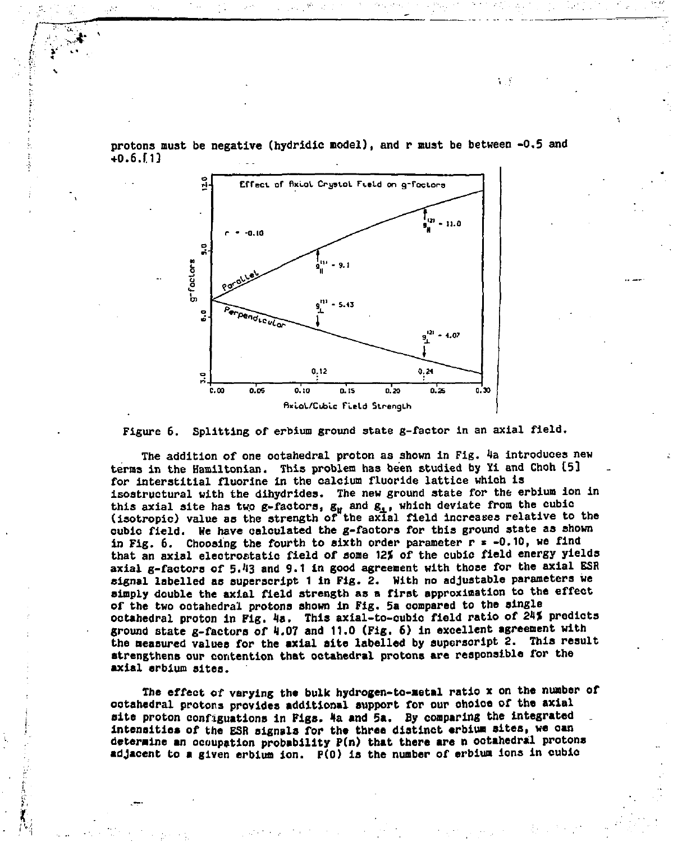

**protons must be negative (hydridio model), and r must be between -0.5 and +0.6.[I]** 

t k



**The addition of one octahedral proton as shown in Fig.** *Ha* **introduces new terms in the Hamiltonian. This problem has been studied by Xi and Choh [5] for interstitial fluorine in the calcium fluoride lattice which is isostructural with the dlhydrides. The new ground state for the erbium ion in**  this axial site has two g-factors,  $g_{\mu}$  and  $g_{\mu}$ , which deviate from the cubic (isotropic) value as the strength of the axial field increases relative to the **cubic field. He have calculated the g-faotors for this ground state as shown in Fig. 6. Choosing the fourth to sixth order parameter r \* -0.10, we find**  that an axial electrostatic field of some 12% of the cubic field energy yields **axial g-factors of 5.'13 and 9.1 in good agreement with those for the axial ESR signal labelled as superscript 1 in Fig. 2. With no adjustable parameters we simply double the axial field strength as a first approximation to the effect of the two octahedral protons shown in Fig. 5a compared to the single octahedral proton In Fig. la. This axial-to-cubio field ratio of 21\* predicts ground state g-factors of 1.07 and 11.0 (Fig. 6) in excellent agreement with the measured values for the axial site labelled by superscript 2. This result strengthens our contention that octahedral protons are responsible for the axial erbium sites.** 

**The effect of varying the bulk hydrogen-to-metal ratio x on the number or ootahedral protons provides additional support for our ohoioe of the axial**  site proton configuations in Figs. 4a and 5a. By comparing the integrated **intensities of the ESR signals for the three distinct erbium sites, ve can determine an ocoupation probability P(n) that there are n ootahedral protons adjacent to a given erbium ion. P(0) is the number of erbium ions in oublo**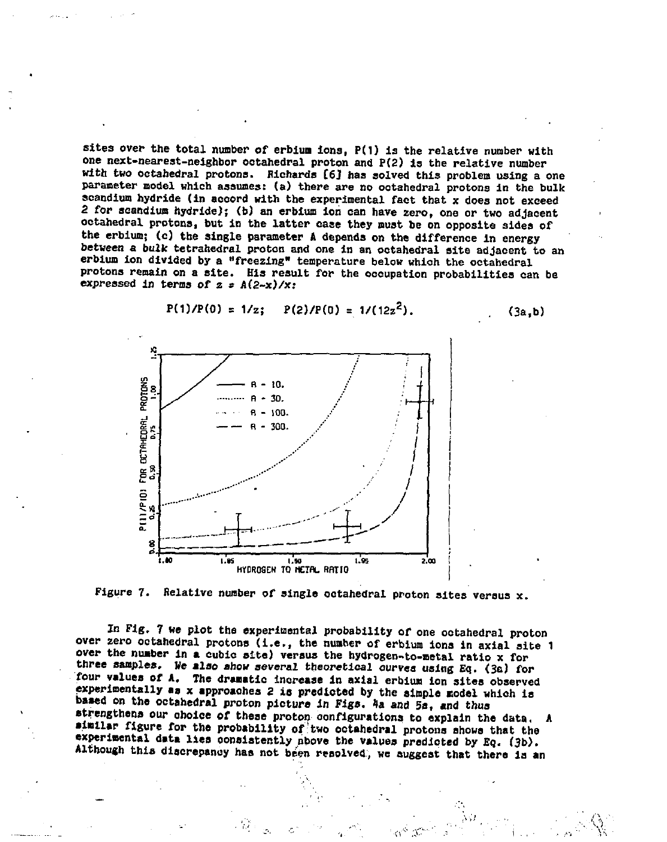**sites over the total number of erbium Ions, P(1) is the relative number with one next-nearest-neighbor octahedral proton and P(2) is the relative number with two octahedral protons. Richards [6J has solved this problem using a one parameter model which assumes: (a) there are no octahedral protons in the bulk scandium hydride (in acoord with the experimental fact that x does not exceed 2 for scandium hydride); (b) an erbium ion can have zero, one or two adjacent octahedral protons, but in the latter case they must be on opposite sides of the erbium; (c) the single parameter A depends on the difference in energy between a bulk tetrahedral proton and one in an octahedral site adjacent to an erbium ion divided by a "freezing" temperature below which the octahedral protons remain on a site. His result for the occupation probabilities can be expressed in terms of z = A(2-x)/x:** 



$$
P(1)/P(0) = 1/z
$$
;  $P(2)/P(0) = 1/(12z2)$ . (3a,b)



**In Fig. 7 we plot the experimental probability of one octahedral proton over zero octahedral protons (i.e., the number of erbium ions in axial site 1 over the number in a cubic site) versus the hydrogen-to-metal ratio x for three samples. We also show several theoretical ourvea using Eq. (3a) for four values of A. The dramatlo increase in axial erbium ion sites observed experimentally as x approaches 2 is predicted by the simple model which is based on the octahedral proton picture in Figs, la and 5a, and thus**  strengthens our choice of these proton configurations to explain the data. **similar figure for the probability of two ootahedral protons shows that the experimental data lies consistently above the values predicted by Eq. (3b). Although this discrepancy has not been resolved, we suggest that there is an**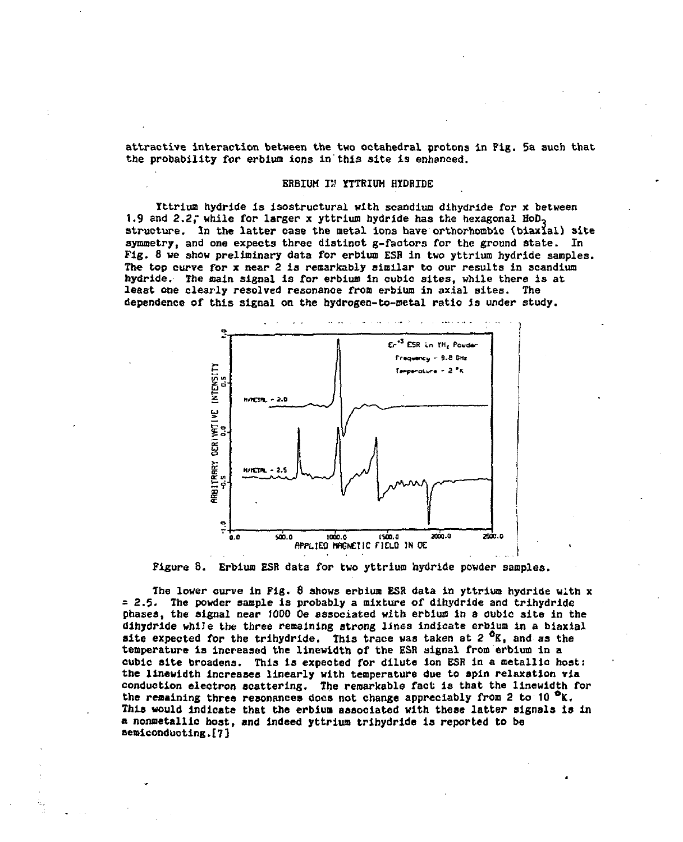**attractive interaction between the two octahedral protons in Fig. 5a such that the probability for erbium ions in this site is enhanced.** 

### **ERBIUM IS YTTRIUM HYDRIDE**

**Yttrium hydride is isostructural with scandium dihydride for x between 1.9 and 2.2," while for larger x yttrium hydride has the hexagonal HoD, structure. In the latter case the metal iona have orthorhomblc (biaxial) site symmetry, and one expects three distinct g-factors for the ground state. In Fig. 8 we show preliminary data for erbium ESH in two yttrium hydride samples. The top curve for x near 2 is remarkably similar to our results in scandium hydride. The main signal is for erbium in cubic sites, while there is at least one clearly resolved resonance from erbium in axial sites. The dependence of this signal on the hydrogen-to-metal ratio is under study.** 





**The lower curve in Fig. 6 shows erbium ESR data in yttrium hydride with x =2.5. The powder sample i3 probably a mixture of dihydride and trihydride phases, the signal near 1000 Oe associated with erbium in a oubic site in the dihydride while the three remaining strong lines indicate erbium in a biaxial**  site expected for the trihydride. This trace was taken at 2<sup>0</sup>K, and as the **temperature is increased the linewidth of the ESR signal from erbium in a cubic site broadens. This is expeoted for dilute ion ESR In a oetallia host: the linewidth Increases linearly with temperature due to spin relaxation via conduction electron scattering. The remarkable fact is that the linewidth for the remaining three resonances does not change appreciably from 2 to 10 °K. This would indicate that the erbium associated with these latter signals is in a nonmetallic host, and indeed yttrium trihydride Is reported to bs semiconducting. £ 7 J**